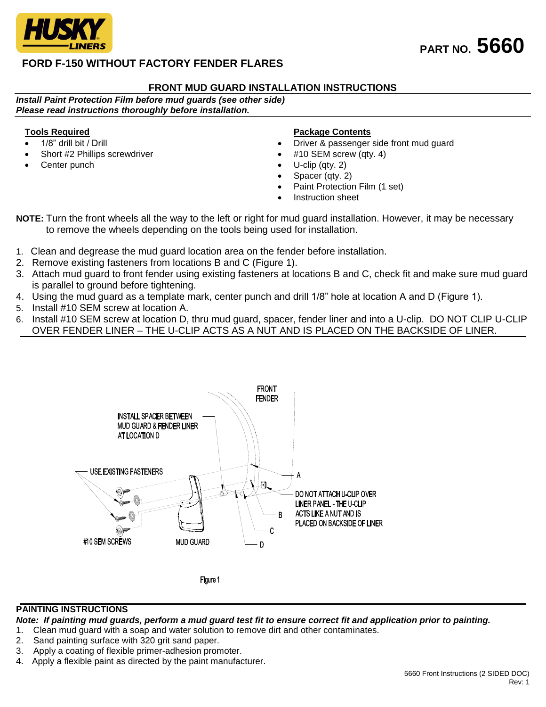

## **FRONT MUD GUARD INSTALLATION INSTRUCTIONS**

*Install Paint Protection Film before mud guards (see other side) Please read instructions thoroughly before installation.*

## **Tools Required**

- 1/8" drill bit / Drill
- Short #2 Phillips screwdriver
- Center punch

#### **Package Contents**

- Driver & passenger side front mud guard
- #10 SEM screw (qty. 4)
- U-clip (qty. 2)
- Spacer (qty. 2)
- Paint Protection Film (1 set)
- Instruction sheet

**NOTE:** Turn the front wheels all the way to the left or right for mud guard installation. However, it may be necessary to remove the wheels depending on the tools being used for installation.

- 1. Clean and degrease the mud guard location area on the fender before installation.
- 2. Remove existing fasteners from locations B and C (Figure 1).
- 3. Attach mud guard to front fender using existing fasteners at locations B and C, check fit and make sure mud guard is parallel to ground before tightening.
- 4. Using the mud guard as a template mark, center punch and drill 1/8" hole at location A and D (Figure 1).
- 5. Install #10 SEM screw at location A.
- 6. Install #10 SEM screw at location D, thru mud guard, spacer, fender liner and into a U-clip. DO NOT CLIP U-CLIP OVER FENDER LINER – THE U-CLIP ACTS AS A NUT AND IS PLACED ON THE BACKSIDE OF LINER.



# **PAINTING INSTRUCTIONS**

*Note: If painting mud guards, perform a mud guard test fit to ensure correct fit and application prior to painting.*

- 1. Clean mud guard with a soap and water solution to remove dirt and other contaminates.
- 2. Sand painting surface with 320 grit sand paper.
- 3. Apply a coating of flexible primer-adhesion promoter.
- 4. Apply a flexible paint as directed by the paint manufacturer.